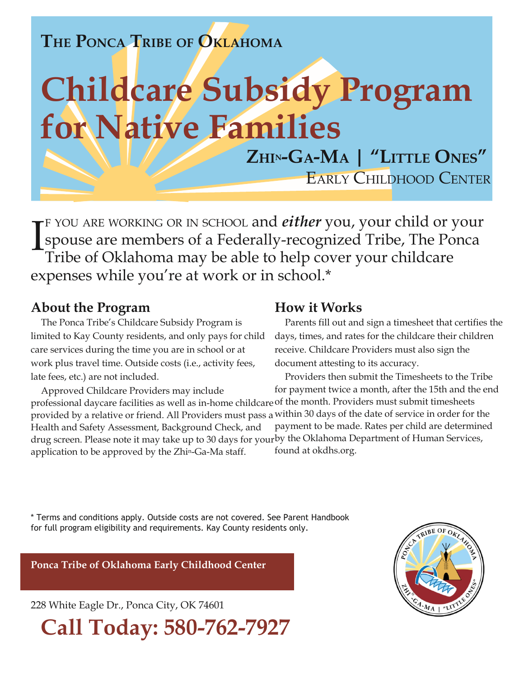# **THE PONCA TRIBE OF OKLAHOMA**

# **Childcare Subsidy Program for Native Families**

**ZHIN-GA-MA | "LITTLE ONES"** EARLY CHILDHOOD CENTER

<sup>F</sup> YOU ARE WORKING OR IN SCHOOL and *either* you, your child or your spouse are members of a Federally-recognized Tribe, The Ponca Tribe of Oklahoma may be able to help cover your childcare expenses while you're at work or in school.\* I

#### **About the Program**

The Ponca Tribe's Childcare Subsidy Program is limited to Kay County residents, and only pays for child care services during the time you are in school or at work plus travel time. Outside costs (i.e., activity fees, late fees, etc.) are not included.

Approved Childcare Providers may include professional daycare facilities as well as in-home childcare of the month. Providers must submit timesheets provided by a relative or friend. All Providers must pass a within 30 days of the date of service in order for the Health and Safety Assessment, Background Check, and drug screen. Please note it may take up to 30 days for your by the Oklahoma Department of Human Services, application to be approved by the Zhin-Ga-Ma staff. for payment twice a month, after the 15th and the end payment to be made. Rates per child are determined found at okdhs.org.

### **How it Works**

Parents fill out and sign a timesheet that certifies the days, times, and rates for the childcare their children receive. Childcare Providers must also sign the document attesting to its accuracy.

Providers then submit the Timesheets to the Tribe

\* Terms and conditions apply. Outside costs are not covered. See Parent Handbook for full program eligibility and requirements. Kay County residents only.

**Ponca Tribe of Oklahoma Early Childhood Center**

228 White Eagle Dr., Ponca City, OK 74601

**Call Today: 580-762-7927**